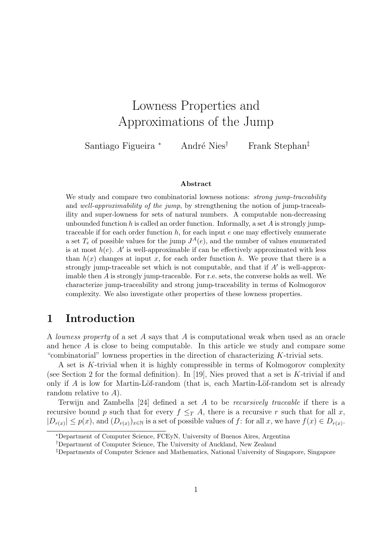# Lowness Properties and Approximations of the Jump

Santiago Figueira <sup>∗</sup> André Nies<sup>†</sup> Frank Stephan<sup>‡</sup>

#### Abstract

We study and compare two combinatorial lowness notions: *strong jump-traceability* and well-approximability of the jump, by strengthening the notion of jump-traceability and super-lowness for sets of natural numbers. A computable non-decreasing unbounded function h is called an order function. Informally, a set  $A$  is strongly jumptraceable if for each order function  $h$ , for each input  $e$  one may effectively enumerate a set  $T_e$  of possible values for the jump  $J^A(e)$ , and the number of values enumerated is at most  $h(e)$ . A' is well-approximable if can be effectively approximated with less than  $h(x)$  changes at input x, for each order function h. We prove that there is a strongly jump-traceable set which is not computable, and that if  $A'$  is well-approximable then A is strongly jump-traceable. For r.e. sets, the converse holds as well. We characterize jump-traceability and strong jump-traceability in terms of Kolmogorov complexity. We also investigate other properties of these lowness properties.

# 1 Introduction

A lowness property of a set A says that A is computational weak when used as an oracle and hence A is close to being computable. In this article we study and compare some "combinatorial" lowness properties in the direction of characterizing  $K$ -trivial sets.

A set is K-trivial when it is highly compressible in terms of Kolmogorov complexity (see Section 2 for the formal definition). In [19], Nies proved that a set is  $K$ -trivial if and only if A is low for Martin-Löf-random (that is, each Martin-Löf-random set is already random relative to A).

Terwijn and Zambella  $[24]$  defined a set A to be *recursively traceable* if there is a recursive bound p such that for every  $f \leq_T A$ , there is a recursive r such that for all x,  $|D_{r(x)}| \leq p(x)$ , and  $(D_{r(x)})_{x \in \mathbb{N}}$  is a set of possible values of f: for all x, we have  $f(x) \in D_{r(x)}$ .

<sup>∗</sup>Department of Computer Science, FCEyN, University of Buenos Aires, Argentina

<sup>†</sup>Department of Computer Science, The University of Auckland, New Zealand

<sup>‡</sup>Departments of Computer Science and Mathematics, National University of Singapore, Singapore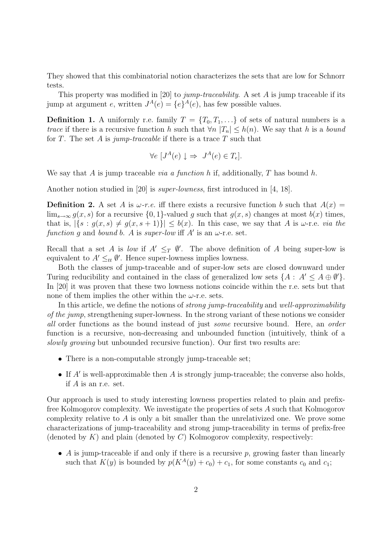They showed that this combinatorial notion characterizes the sets that are low for Schnorr tests.

This property was modified in [20] to *jump-traceability*. A set  $A$  is jump traceable if its jump at argument e, written  $J^A(e) = \{e\}^A(e)$ , has few possible values.

**Definition 1.** A uniformly r.e. family  $T = \{T_0, T_1, \ldots\}$  of sets of natural numbers is a trace if there is a recursive function h such that  $\forall n |T_n| \leq h(n)$ . We say that h is a bound for T. The set A is jump-traceable if there is a trace T such that

$$
\forall e \ [J^A(e) \downarrow \Rightarrow J^A(e) \in T_e].
$$

We say that A is jump traceable *via a function h* if, additionally, T has bound h.

Another notion studied in [20] is super-lowness, first introduced in [4, 18].

**Definition 2.** A set A is  $\omega$ -r.e. iff there exists a recursive function b such that  $A(x) =$  $\lim_{s\to\infty} g(x, s)$  for a recursive  $\{0, 1\}$ -valued g such that  $g(x, s)$  changes at most  $b(x)$  times, that is,  $|\{s : q(x, s) \neq q(x, s + 1)\}| \leq b(x)$ . In this case, we say that A is  $\omega$ -r.e. *via the* function g and bound b. A is super-low iff A' is an  $\omega$ -r.e. set.

Recall that a set A is low if  $A' \leq_T \emptyset'$ . The above definition of A being super-low is equivalent to  $A' \leq_{tt} \emptyset'$ . Hence super-lowness implies lowness.

Both the classes of jump-traceable and of super-low sets are closed downward under Turing reducibility and contained in the class of generalized low sets  $\{A: A' \leq A \oplus \emptyset'\}.$ In [20] it was proven that these two lowness notions coincide within the r.e. sets but that none of them implies the other within the  $\omega$ -r.e. sets.

In this article, we define the notions of *strong jump-traceability* and well-approximability of the jump, strengthening super-lowness. In the strong variant of these notions we consider all order functions as the bound instead of just some recursive bound. Here, an order function is a recursive, non-decreasing and unbounded function (intuitively, think of a slowly growing but unbounded recursive function). Our first two results are:

- There is a non-computable strongly jump-traceable set;
- If  $A'$  is well-approximable then  $A$  is strongly jump-traceable; the converse also holds, if A is an r.e. set.

Our approach is used to study interesting lowness properties related to plain and prefixfree Kolmogorov complexity. We investigate the properties of sets A such that Kolmogorov complexity relative to  $A$  is only a bit smaller than the unrelativized one. We prove some characterizations of jump-traceability and strong jump-traceability in terms of prefix-free (denoted by  $K$ ) and plain (denoted by  $C$ ) Kolmogorov complexity, respectively:

• A is jump-traceable if and only if there is a recursive p, growing faster than linearly such that  $K(y)$  is bounded by  $p(K^A(y) + c_0) + c_1$ , for some constants  $c_0$  and  $c_1$ ;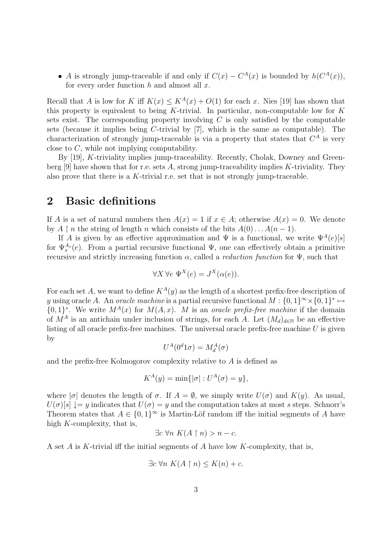• A is strongly jump-traceable if and only if  $C(x) - C<sup>A</sup>(x)$  is bounded by  $h(C<sup>A</sup>(x))$ , for every order function  $h$  and almost all  $x$ .

Recall that A is low for K iff  $K(x) \leq K^A(x) + O(1)$  for each x. Nies [19] has shown that this property is equivalent to being  $K$ -trivial. In particular, non-computable low for  $K$ sets exist. The corresponding property involving  $C$  is only satisfied by the computable sets (because it implies being C-trivial by [7], which is the same as computable). The characterization of strongly jump-traceable is via a property that states that  $C^A$  is very close to C, while not implying computability.

By [19], K-triviality implies jump-traceability. Recently, Cholak, Downey and Greenberg [9] have shown that for r.e. sets A, strong jump-traceability implies K-triviality. They also prove that there is a K-trivial r.e. set that is not strongly jump-traceable.

### 2 Basic definitions

If A is a set of natural numbers then  $A(x) = 1$  if  $x \in A$ ; otherwise  $A(x) = 0$ . We denote by  $A \restriction n$  the string of length n which consists of the bits  $A(0) \dots A(n-1)$ .

If A is given by an effective approximation and  $\Psi$  is a functional, we write  $\Psi^A(e)[s]$ for  $\Psi_s^{A_s}(e)$ . From a partial recursive functional  $\Psi$ , one can effectively obtain a primitive recursive and strictly increasing function  $\alpha$ , called a *reduction function* for  $\Psi$ , such that

$$
\forall X \,\forall e \,\, \Psi^X(e) = J^X(\alpha(e)).
$$

For each set A, we want to define  $K^A(y)$  as the length of a shortest prefix-free description of y using oracle A. An *oracle machine* is a partial recursive functional  $M: \{0,1\}^{\infty} \times \{0,1\}^* \mapsto$  $\{0,1\}^*$ . We write  $M^A(x)$  for  $M(A,x)$ . M is an oracle prefix-free machine if the domain of  $M^A$  is an antichain under inclusion of strings, for each A. Let  $(M_d)_{d\in\mathbb{N}}$  be an effective listing of all oracle prefix-free machines. The universal oracle prefix-free machine  $U$  is given by

$$
U^A(0^d 1\sigma) = M_d^A(\sigma)
$$

and the prefix-free Kolmogorov complexity relative to A is defined as

$$
K^{A}(y) = \min\{|\sigma| : U^{A}(\sigma) = y\},\
$$

where  $|\sigma|$  denotes the length of  $\sigma$ . If  $A = \emptyset$ , we simply write  $U(\sigma)$  and  $K(y)$ . As usual,  $U(\sigma)[s] \downarrow = y$  indicates that  $U(\sigma) = y$  and the computation takes at most s steps. Schnorr's Theorem states that  $A \in \{0,1\}^{\infty}$  is Martin-Löf random iff the initial segments of A have high K-complexity, that is,

$$
\exists c \,\forall n \, K(A \upharpoonright n) > n - c.
$$

A set A is K-trivial iff the initial segments of A have low K-complexity, that is,

$$
\exists c \,\forall n \, K(A \upharpoonright n) \le K(n) + c.
$$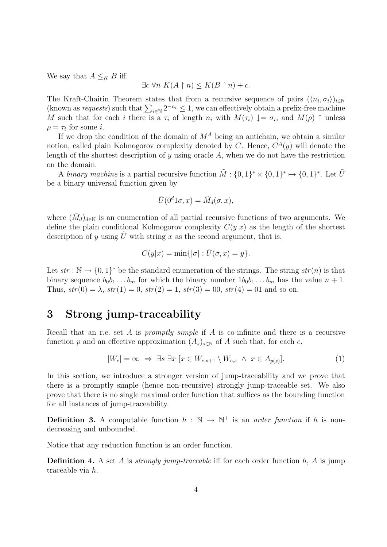We say that  $A \leq_K B$  iff

$$
\exists c \,\forall n \, K(A \upharpoonright n) \le K(B \upharpoonright n) + c.
$$

The Kraft-Chaitin Theorem states that from a recursive sequence of pairs  $(\langle n_i, \sigma_i \rangle)_{i \in \mathbb{N}}$ (known as requests) such that  $\sum_{i\in\mathbb{N}} 2^{-n_i} \leq 1$ , we can effectively obtain a prefix-free machine M such that for each i there is a  $\tau_i$  of length  $n_i$  with  $M(\tau_i) \downarrow = \sigma_i$ , and  $M(\rho) \uparrow$  unless  $\rho = \tau_i$  for some *i*.

If we drop the condition of the domain of  $M^A$  being an antichain, we obtain a similar notion, called plain Kolmogorov complexity denoted by C. Hence,  $C^{A}(y)$  will denote the length of the shortest description of y using oracle  $A$ , when we do not have the restriction on the domain.

A binary machine is a partial recursive function  $\tilde{M}$  :  $\{0,1\}^* \times \{0,1\}^* \mapsto \{0,1\}^*$ . Let  $\tilde{U}$ be a binary universal function given by

$$
\tilde{U}(0^d 1\sigma, x) = \tilde{M}_d(\sigma, x),
$$

where  $(\tilde{M}_d)_{d\in\mathbb{N}}$  is an enumeration of all partial recursive functions of two arguments. We define the plain conditional Kolmogorov complexity  $C(y|x)$  as the length of the shortest description of y using  $\tilde{U}$  with string x as the second argument, that is,

$$
C(y|x) = \min\{|\sigma| : \tilde{U}(\sigma, x) = y\}.
$$

Let  $str : \mathbb{N} \to \{0,1\}^*$  be the standard enumeration of the strings. The string  $str(n)$  is that binary sequence  $b_0b_1 \ldots b_m$  for which the binary number  $1b_0b_1 \ldots b_m$  has the value  $n+1$ . Thus,  $str(0) = \lambda$ ,  $str(1) = 0$ ,  $str(2) = 1$ ,  $str(3) = 00$ ,  $str(4) = 01$  and so on.

## 3 Strong jump-traceability

Recall that an r.e. set A is promptly simple if A is co-infinite and there is a recursive function p and an effective approximation  $(A_s)_{s\in\mathbb{N}}$  of A such that, for each e,

$$
|W_e| = \infty \implies \exists s \; \exists x \; [x \in W_{e,s+1} \setminus W_{e,s} \ \land \ x \in A_{p(s)}]. \tag{1}
$$

In this section, we introduce a stronger version of jump-traceability and we prove that there is a promptly simple (hence non-recursive) strongly jump-traceable set. We also prove that there is no single maximal order function that suffices as the bounding function for all instances of jump-traceability.

**Definition 3.** A computable function  $h : \mathbb{N} \to \mathbb{N}^+$  is an *order function* if h is nondecreasing and unbounded.

Notice that any reduction function is an order function.

**Definition 4.** A set A is *strongly jump-traceable* iff for each order function  $h$ , A is jump traceable via h.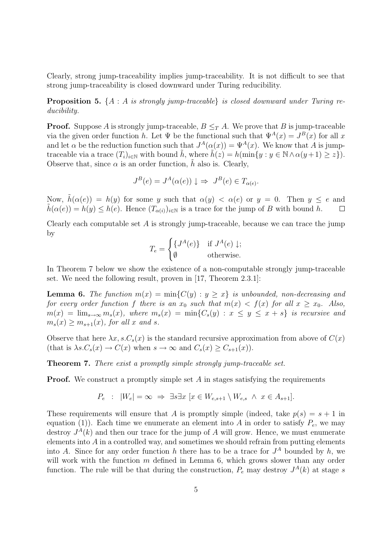Clearly, strong jump-traceability implies jump-traceability. It is not difficult to see that strong jump-traceability is closed downward under Turing reducibility.

**Proposition 5.**  $\{A : A \text{ is strongly jump-traceable}\}$  is closed downward under Turing reducibility.

**Proof.** Suppose A is strongly jump-traceable,  $B \leq_T A$ . We prove that B is jump-traceable via the given order function h. Let  $\Psi$  be the functional such that  $\Psi^A(x) = J^B(x)$  for all x and let  $\alpha$  be the reduction function such that  $J^A(\alpha(x)) = \Psi^A(x)$ . We know that A is jumptraceable via a trace  $(T_i)_{i\in\mathbb{N}}$  with bound h, where  $h(z) = h(\min\{y : y \in \mathbb{N} \wedge \alpha(y+1) \geq z\}).$ Observe that, since  $\alpha$  is an order function, h also is. Clearly,

$$
J^{B}(e) = J^{A}(\alpha(e)) \downarrow \Rightarrow J^{B}(e) \in T_{\alpha(e)}.
$$

Now,  $\tilde{h}(\alpha(e)) = h(y)$  for some y such that  $\alpha(y) < \alpha(e)$  or  $y = 0$ . Then  $y \le e$  and  $\tilde{h}(\alpha(e)) = h(y) \leq h(e)$ . Hence  $(T_{\alpha(i)})_{i \in \mathbb{N}}$  is a trace for the jump of B with bound h.  $\Box$ 

Clearly each computable set  $A$  is strongly jump-traceable, because we can trace the jump by

$$
T_e = \begin{cases} \{J^A(e)\} & \text{if } J^A(e) \downarrow; \\ \emptyset & \text{otherwise.} \end{cases}
$$

In Theorem 7 below we show the existence of a non-computable strongly jump-traceable set. We need the following result, proven in [17, Theorem 2.3.1]:

**Lemma 6.** The function  $m(x) = min{C(y) : y \geq x}$  is unbounded, non-decreasing and for every order function f there is an  $x_0$  such that  $m(x) < f(x)$  for all  $x \ge x_0$ . Also,  $m(x) = \lim_{s\to\infty} m_s(x)$ , where  $m_s(x) = \min\{C_s(y) : x \leq y \leq x + s\}$  is recursive and  $m_s(x) \geq m_{s+1}(x)$ , for all x and s.

Observe that here  $\lambda x, s.C_s(x)$  is the standard recursive approximation from above of  $C(x)$ (that is  $\lambda s.C_s(x) \to C(x)$  when  $s \to \infty$  and  $C_s(x) \geq C_{s+1}(x)$ ).

Theorem 7. There exist a promptly simple strongly jump-traceable set.

**Proof.** We construct a promptly simple set  $A$  in stages satisfying the requirements

$$
P_e : |W_e| = \infty \implies \exists s \exists x \ [x \in W_{e,s+1} \setminus W_{e,s} \land x \in A_{s+1}].
$$

These requirements will ensure that A is promptly simple (indeed, take  $p(s) = s + 1$  in equation (1)). Each time we enumerate an element into A in order to satisfy  $P_e$ , we may destroy  $J^A(k)$  and then our trace for the jump of A will grow. Hence, we must enumerate elements into  $A$  in a controlled way, and sometimes we should refrain from putting elements into A. Since for any order function h there has to be a trace for  $J^A$  bounded by h, we will work with the function  $m$  defined in Lemma 6, which grows slower than any order function. The rule will be that during the construction,  $P_e$  may destroy  $J^A(k)$  at stage s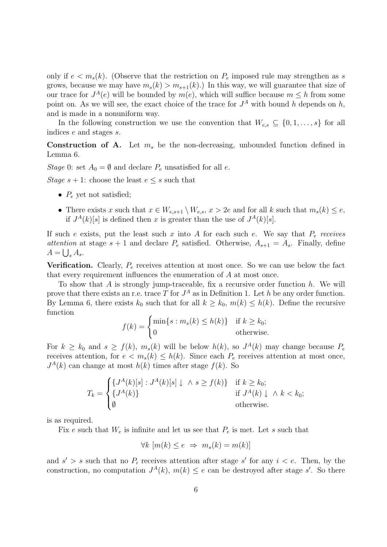only if  $e < m_s(k)$ . (Observe that the restriction on  $P_e$  imposed rule may strengthen as s grows, because we may have  $m_s(k) > m_{s+1}(k)$ .) In this way, we will guarantee that size of our trace for  $J^A(e)$  will be bounded by  $m(e)$ , which will suffice because  $m \leq h$  from some point on. As we will see, the exact choice of the trace for  $J^A$  with bound h depends on h, and is made in a nonuniform way.

In the following construction we use the convention that  $W_{e,s} \subseteq \{0,1,\ldots,s\}$  for all indices e and stages s.

**Construction of A.** Let  $m_s$  be the non-decreasing, unbounded function defined in Lemma 6.

Stage 0: set  $A_0 = \emptyset$  and declare  $P_e$  unsatisfied for all e.

Stage  $s + 1$ : choose the least  $e \leq s$  such that

- $P_e$  yet not satisfied;
- There exists x such that  $x \in W_{e,s+1} \setminus W_{e,s}$ ,  $x > 2e$  and for all k such that  $m_s(k) \leq e$ , if  $J^A(k)[s]$  is defined then x is greater than the use of  $J^A(k)[s]$ .

If such e exists, put the least such x into A for each such e. We say that  $P_e$  receives attention at stage  $s + 1$  and declare  $P_e$  satisfied. Otherwise,  $A_{s+1} = A_s$ . Finally, define  $A = \bigcup_s A_s.$ 

**Verification.** Clearly,  $P_e$  receives attention at most once. So we can use below the fact that every requirement influences the enumeration of A at most once.

To show that  $A$  is strongly jump-traceable, fix a recursive order function  $h$ . We will prove that there exists an r.e. trace T for  $J^A$  as in Definition 1. Let h be any order function. By Lemma 6, there exists  $k_0$  such that for all  $k \geq k_0$ ,  $m(k) \leq h(k)$ . Define the recursive function

$$
f(k) = \begin{cases} \min\{s : m_s(k) \le h(k)\} & \text{if } k \ge k_0; \\ 0 & \text{otherwise.} \end{cases}
$$

For  $k \geq k_0$  and  $s \geq f(k)$ ,  $m_s(k)$  will be below  $h(k)$ , so  $J<sup>A</sup>(k)$  may change because  $P_e$ receives attention, for  $e < m_s(k) \le h(k)$ . Since each  $P_e$  receives attention at most once,  $J<sup>A</sup>(k)$  can change at most  $h(k)$  times after stage  $f(k)$ . So

$$
T_k = \begin{cases} \{J^A(k)[s] : J^A(k)[s] \downarrow \land s \ge f(k)\} & \text{if } k \ge k_0; \\ \{J^A(k)\} & \text{if } J^A(k) \downarrow \land k < k_0; \\ \emptyset & \text{otherwise.} \end{cases}
$$

is as required.

Fix e such that  $W_e$  is infinite and let us see that  $P_e$  is met. Let s such that

$$
\forall k \ [m(k) \le e \ \Rightarrow \ m_s(k) = m(k)]
$$

and  $s' > s$  such that no  $P_i$  receives attention after stage s' for any  $i < e$ . Then, by the construction, no computation  $J^A(k)$ ,  $m(k) \leq e$  can be destroyed after stage s'. So there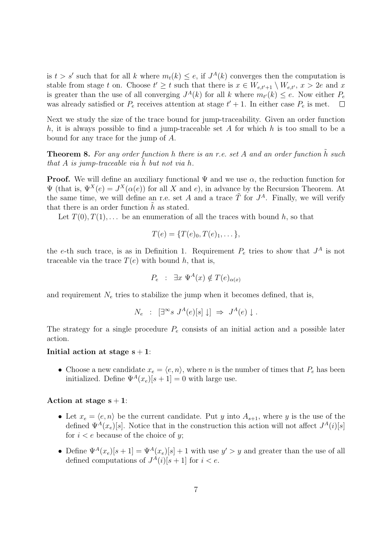is  $t > s'$  such that for all k where  $m_t(k) \leq e$ , if  $J^A(k)$  converges then the computation is stable from stage t on. Choose  $t' \geq t$  such that there is  $x \in W_{e,t'+1} \setminus W_{e,t'}$ ,  $x > 2e$  and x is greater than the use of all converging  $J^A(k)$  for all k where  $m_{t'}(k) \leq e$ . Now either  $P_e$ was already satisfied or  $P_e$  receives attention at stage  $t' + 1$ . In either case  $P_e$  is met.

Next we study the size of the trace bound for jump-traceability. Given an order function h, it is always possible to find a jump-traceable set A for which h is too small to be a bound for any trace for the jump of A.

**Theorem 8.** For any order function h there is an r.e. set A and an order function  $\tilde{h}$  such that A is jump-traceable via h but not via h.

**Proof.** We will define an auxiliary functional  $\Psi$  and we use  $\alpha$ , the reduction function for  $\Psi$  (that is,  $\Psi^X(e) = J^X(\alpha(e))$  for all X and e), in advance by the Recursion Theorem. At the same time, we will define an r.e. set A and a trace  $\tilde{T}$  for  $J^A$ . Finally, we will verify that there is an order function  $h$  as stated.

Let  $T(0), T(1), \ldots$  be an enumeration of all the traces with bound h, so that

$$
T(e) = \{T(e)_0, T(e)_1, \dots\},\
$$

the e-th such trace, is as in Definition 1. Requirement  $P_e$  tries to show that  $J^A$  is not traceable via the trace  $T(e)$  with bound h, that is,

$$
P_e : \exists x \ \Psi^A(x) \notin T(e)_{\alpha(x)}
$$

and requirement  $N_e$  tries to stabilize the jump when it becomes defined, that is,

$$
N_e : [\exists^{\infty} s \; J^A(e)[s] \downarrow] \Rightarrow J^A(e) \downarrow.
$$

The strategy for a single procedure  $P_e$  consists of an initial action and a possible later action.

#### Initial action at stage  $s + 1$ :

• Choose a new candidate  $x_e = \langle e, n \rangle$ , where n is the number of times that  $P_e$  has been initialized. Define  $\Psi^A(x_e)[s+1] = 0$  with large use.

#### Action at stage  $s + 1$ :

- Let  $x_e = \langle e, n \rangle$  be the current candidate. Put y into  $A_{s+1}$ , where y is the use of the defined  $\Psi^A(x_e)[s]$ . Notice that in the construction this action will not affect  $J^A(i)[s]$ for  $i < e$  because of the choice of y;
- Define  $\Psi^A(x_e)[s+1] = \Psi^A(x_e)[s] + 1$  with use  $y' > y$  and greater than the use of all defined computations of  $J^A(i)[s+1]$  for  $i < e$ .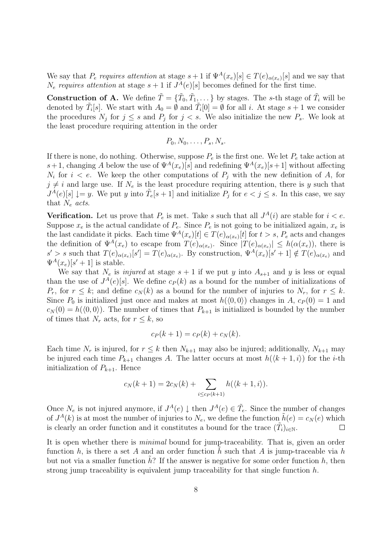We say that  $P_e$  requires attention at stage  $s+1$  if  $\Psi^A(x_e)[s] \in T(e)_{\alpha(x_e)}[s]$  and we say that  $N_e$  requires attention at stage  $s+1$  if  $J^A(e)[s]$  becomes defined for the first time.

**Construction of A.** We define  $\tilde{T} = {\{\tilde{T}_0, \tilde{T}_1, \dots\}}$  by stages. The s-th stage of  $\tilde{T}_i$  will be denoted by  $\tilde{T}_i[s]$ . We start with  $A_0 = \emptyset$  and  $\tilde{T}_i[0] = \emptyset$  for all i. At stage  $s + 1$  we consider the procedures  $N_j$  for  $j \leq s$  and  $P_j$  for  $j < s$ . We also initialize the new  $P_s$ . We look at the least procedure requiring attention in the order

$$
P_0, N_0, \ldots, P_s, N_s.
$$

If there is none, do nothing. Otherwise, suppose  $P_e$  is the first one. We let  $P_e$  take action at s+1, changing A below the use of  $\Psi^A(x_e)[s]$  and redefining  $\Psi^A(x_e)[s+1]$  without affecting  $N_i$  for  $i < e$ . We keep the other computations of  $P_j$  with the new definition of A, for  $j \neq i$  and large use. If  $N_e$  is the least procedure requiring attention, there is y such that  $J^A(e)[s] \downarrow = y$ . We put y into  $\tilde{T}_e[s+1]$  and initialize  $P_j$  for  $e < j \leq s$ . In this case, we say that  $N_e$  acts.

**Verification.** Let us prove that  $P_e$  is met. Take s such that all  $J^A(i)$  are stable for  $i < e$ . Suppose  $x_e$  is the actual candidate of  $P_e$ . Since  $P_e$  is not going to be initialized again,  $x_e$  is the last candidate it picks. Each time  $\Psi^A(x_e)[t] \in T(e)_{\alpha(x_e)}[t]$  for  $t > s$ ,  $P_e$  acts and changes the definition of  $\Psi^A(x_e)$  to escape from  $T(e)_{\alpha(x_e)}$ . Since  $|T(e)_{\alpha(x_e)}| \leq h(\alpha(x_e))$ , there is  $s' > s$  such that  $T(e)_{\alpha(x_e)}[s'] = T(e)_{\alpha(x_e)}$ . By construction,  $\Psi^A(x_e)[s'+1] \notin T(e)_{\alpha(x_e)}$  and  $\Psi^A(x_e)[s'+1]$  is stable.

We say that  $N_e$  is *injured* at stage  $s + 1$  if we put y into  $A_{s+1}$  and y is less or equal than the use of  $J^A(e)[s]$ . We define  $c_P(k)$  as a bound for the number of initializations of  $P_r$ , for  $r \leq k$ ; and define  $c_N(k)$  as a bound for the number of injuries to  $N_r$ , for  $r \leq k$ . Since  $P_0$  is initialized just once and makes at most  $h(\langle 0, 0 \rangle)$  changes in A,  $c_P(0) = 1$  and  $c_N(0) = h(\langle 0, 0 \rangle)$ . The number of times that  $P_{k+1}$  is initialized is bounded by the number of times that  $N_r$  acts, for  $r \leq k$ , so

$$
c_P(k+1) = c_P(k) + c_N(k).
$$

Each time  $N_r$  is injured, for  $r \leq k$  then  $N_{k+1}$  may also be injured; additionally,  $N_{k+1}$  may be injured each time  $P_{k+1}$  changes A. The latter occurs at most  $h(\langle k+1, i \rangle)$  for the *i*-th initialization of  $P_{k+1}$ . Hence

$$
c_N(k+1) = 2c_N(k) + \sum_{i \le c_P(k+1)} h(\langle k+1, i \rangle).
$$

Once  $N_e$  is not injured anymore, if  $J^A(e) \downarrow$  then  $J^A(e) \in \tilde{T}_e$ . Since the number of changes of  $J^A(k)$  is at most the number of injuries to  $N_e$ , we define the function  $\tilde{h}(e) = c_N(e)$  which is clearly an order function and it constitutes a bound for the trace  $(\tilde{T}_i)_{i\in\mathbb{N}}$ .  $\Box$ 

It is open whether there is *minimal* bound for jump-traceability. That is, given an order function h, is there a set A and an order function h such that A is jump-traceable via h but not via a smaller function  $h$ ? If the answer is negative for some order function h, then strong jump traceability is equivalent jump traceability for that single function  $h$ .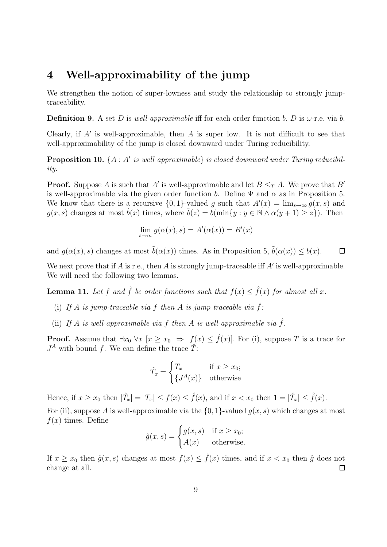# 4 Well-approximability of the jump

We strengthen the notion of super-lowness and study the relationship to strongly jumptraceability.

**Definition 9.** A set D is well-approximable iff for each order function b, D is  $\omega$ -r.e. via b.

Clearly, if  $A'$  is well-approximable, then  $A$  is super low. It is not difficult to see that well-approximability of the jump is closed downward under Turing reducibility.

**Proposition 10.**  $\{A : A' \text{ is well approximable}\}$  is closed downward under Turing reducibility.

**Proof.** Suppose A is such that A' is well-approximable and let  $B \leq_T A$ . We prove that B' is well-approximable via the given order function b. Define  $\Psi$  and  $\alpha$  as in Proposition 5. We know that there is a recursive  $\{0,1\}$ -valued g such that  $A'(x) = \lim_{s\to\infty} g(x,s)$  and  $g(x, s)$  changes at most  $\tilde{b}(x)$  times, where  $\tilde{b}(z) = b(\min\{y : y \in \mathbb{N} \wedge \alpha(y+1) \geq z\})$ . Then

$$
\lim_{s \to \infty} g(\alpha(x), s) = A'(\alpha(x)) = B'(x)
$$

and  $g(\alpha(x), s)$  changes at most  $\tilde{b}(\alpha(x))$  times. As in Proposition 5,  $\tilde{b}(\alpha(x)) \leq b(x)$ .  $\Box$ 

We next prove that if  $A$  is r.e., then  $A$  is strongly jump-traceable iff  $A'$  is well-approximable. We will need the following two lemmas.

**Lemma 11.** Let f and  $\hat{f}$  be order functions such that  $f(x) \leq \hat{f}(x)$  for almost all x.

- (i) If A is jump-traceable via f then A is jump traceable via  $\hat{f}$ ;
- (ii) If A is well-approximable via f then A is well-approximable via  $\hat{f}$ .

**Proof.** Assume that  $\exists x_0 \ \forall x \ [x \geq x_0 \Rightarrow f(x) \leq \hat{f}(x)]$ . For (i), suppose T is a trace for  $J<sup>A</sup>$  with bound f. We can define the trace  $\hat{T}$ :

$$
\hat{T}_x = \begin{cases} T_x & \text{if } x \ge x_0; \\ \{J^A(x)\} & \text{otherwise} \end{cases}
$$

Hence, if  $x \ge x_0$  then  $|\hat{T}_x| = |T_x| \le f(x) \le \hat{f}(x)$ , and if  $x < x_0$  then  $1 = |\hat{T}_x| \le \hat{f}(x)$ .

For (ii), suppose A is well-approximable via the  $\{0, 1\}$ -valued  $g(x, s)$  which changes at most  $f(x)$  times. Define

$$
\hat{g}(x,s) = \begin{cases} g(x,s) & \text{if } x \ge x_0; \\ A(x) & \text{otherwise.} \end{cases}
$$

If  $x \ge x_0$  then  $\hat{g}(x, s)$  changes at most  $f(x) \le \hat{f}(x)$  times, and if  $x < x_0$  then  $\hat{g}$  does not change at all.  $\Box$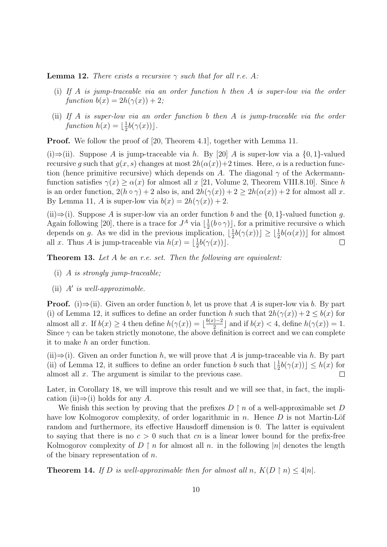**Lemma 12.** There exists a recursive  $\gamma$  such that for all r.e. A:

- (i) If A is jump-traceable via an order function h then A is super-low via the order function  $b(x) = 2h(\gamma(x)) + 2;$
- (ii) If A is super-low via an order function b then A is jump-traceable via the order function  $h(x) = \frac{1}{2}$  $\frac{1}{2}b(\gamma(x))$ .

Proof. We follow the proof of [20, Theorem 4.1], together with Lemma 11.

(i)⇒(ii). Suppose A is jump-traceable via h. By [20] A is super-low via a  $\{0, 1\}$ -valued recursive q such that  $q(x, s)$  changes at most  $2h(\alpha(x))+2$  times. Here,  $\alpha$  is a reduction function (hence primitive recursive) which depends on A. The diagonal  $\gamma$  of the Ackermannfunction satisfies  $\gamma(x) \geq \alpha(x)$  for almost all x [21, Volume 2, Theorem VIII.8.10]. Since h is an order function,  $2(h \circ \gamma) + 2$  also is, and  $2h(\gamma(x)) + 2 \ge 2h(\alpha(x)) + 2$  for almost all x. By Lemma 11, A is super-low via  $b(x) = 2h(\gamma(x)) + 2$ .

(ii)⇒(i). Suppose A is super-low via an order function b and the  $\{0, 1\}$ -valued function q. Again following [20], there is a trace for  $J^A$  via  $\lfloor \frac{1}{2} \rfloor$  $\frac{1}{2}(b \circ \gamma)$ , for a primitive recursive  $\alpha$  which depends on g. As we did in the previous implication,  $\frac{1}{2}$  $\frac{1}{2}b(\gamma(x)) \leq \lfloor \frac{1}{2}b(\alpha(x)) \rfloor$  for almost all x. Thus A is jump-traceable via  $h(x) = \lfloor \frac{1}{2} \rfloor$  $\frac{1}{2}b(\gamma(x))$ .  $\Box$ 

**Theorem 13.** Let A be an r.e. set. Then the following are equivalent:

- (i) A is strongly jump-traceable;
- (ii)  $A'$  is well-approximable.

**Proof.** (i) $\Rightarrow$ (ii). Given an order function b, let us prove that A is super-low via b. By part (i) of Lemma 12, it suffices to define an order function h such that  $2h(\gamma(x)) + 2 \leq b(x)$  for almost all x. If  $b(x) \geq 4$  then define  $h(\gamma(x)) = \frac{b(x)-2}{2}$  $\lfloor \frac{n}{2} \rfloor$  and if  $b(x) < 4$ , define  $h(\gamma(x)) = 1$ . Since  $\gamma$  can be taken strictly monotone, the above definition is correct and we can complete it to make h an order function.

(ii) $\Rightarrow$ (i). Given an order function h, we will prove that A is jump-traceable via h. By part (ii) of Lemma 12, it suffices to define an order function b such that  $\lfloor \frac{1}{2} \rfloor$  $\frac{1}{2}b(\gamma(x)) \leq h(x)$  for almost all x. The argument is similar to the previous case.  $\Box$ 

Later, in Corollary 18, we will improve this result and we will see that, in fact, the implication (ii) $\Rightarrow$ (i) holds for any A.

We finish this section by proving that the prefixes  $D \restriction n$  of a well-approximable set D have low Kolmogorov complexity, of order logarithmic in n. Hence  $D$  is not Martin-Löf random and furthermore, its effective Hausdorff dimension is 0. The latter is equivalent to saying that there is no  $c > 0$  such that cn is a linear lower bound for the prefix-free Kolmogorov complexity of  $D \restriction n$  for almost all n. in the following |n| denotes the length of the binary representation of  $n$ .

**Theorem 14.** If D is well-approximable then for almost all n,  $K(D \restriction n) \leq 4|n|$ .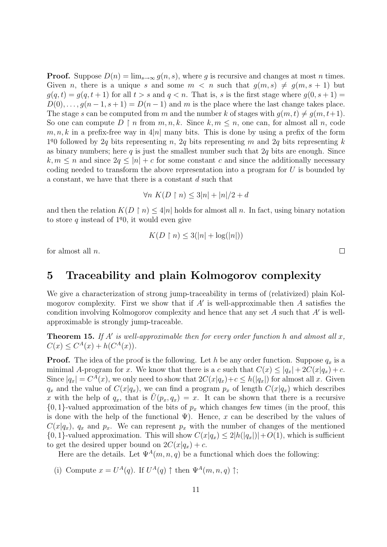**Proof.** Suppose  $D(n) = \lim_{s \to \infty} g(n, s)$ , where g is recursive and changes at most n times. Given n, there is a unique s and some  $m < n$  such that  $g(m, s) \neq g(m, s + 1)$  but  $g(q, t) = g(q, t + 1)$  for all  $t > s$  and  $q < n$ . That is, s is the first stage where  $g(0, s + 1) =$  $D(0), \ldots, g(n-1, s+1) = D(n-1)$  and m is the place where the last change takes place. The stage s can be computed from m and the number k of stages with  $g(m, t) \neq g(m, t+1)$ . So one can compute  $D \restriction n$  from  $m, n, k$ . Since  $k, m \leq n$ , one can, for almost all n, code  $m, n, k$  in a prefix-free way in 4|n| many bits. This is done by using a prefix of the form  $1<sup>q</sup>0$  followed by 2q bits representing n, 2q bits representing m and 2q bits representing k as binary numbers; here  $q$  is just the smallest number such that  $2q$  bits are enough. Since  $k, m \leq n$  and since  $2q \leq |n| + c$  for some constant c and since the additionally necessary coding needed to transform the above representation into a program for  $U$  is bounded by a constant, we have that there is a constant d such that

$$
\forall n \ K(D \upharpoonright n) \le 3|n| + |n|/2 + d
$$

and then the relation  $K(D \restriction n) \leq 4|n|$  holds for almost all n. In fact, using binary notation to store q instead of  $1q0$ , it would even give

$$
K(D \upharpoonright n) \le 3(|n| + \log(|n|))
$$

for almost all  $n$ .

### 5 Traceability and plain Kolmogorov complexity

We give a characterization of strong jump-traceability in terms of (relativized) plain Kolmogorov complexity. First we show that if  $A'$  is well-approximable then  $A$  satisfies the condition involving Kolmogorov complexity and hence that any set  $A$  such that  $A'$  is wellapproximable is strongly jump-traceable.

**Theorem 15.** If A' is well-approximable then for every order function h and almost all  $x$ ,  $C(x) \leq C^{A}(x) + h(C^{A}(x)).$ 

**Proof.** The idea of the proof is the following. Let h be any order function. Suppose  $q_x$  is a minimal A-program for x. We know that there is a c such that  $C(x) \leq |q_x| + 2C(x|q_x) + c$ . Since  $|q_x| = C^A(x)$ , we only need to show that  $2C(x|q_x) + c \le h(|q_x|)$  for almost all x. Given  $q_x$  and the value of  $C(x|q_x)$ , we can find a program  $p_x$  of length  $C(x|q_x)$  which describes x with the help of  $q_x$ , that is  $U(p_x, q_x) = x$ . It can be shown that there is a recursive  $\{0, 1\}$ -valued approximation of the bits of  $p_x$  which changes few times (in the proof, this is done with the help of the functional  $\Psi$ ). Hence, x can be described by the values of  $C(x|q_x)$ ,  $q_x$  and  $p_x$ . We can represent  $p_x$  with the number of changes of the mentioned  $\{0, 1\}$ -valued approximation. This will show  $C(x|q_x) \leq 2|h(|q_x|)|+O(1)$ , which is sufficient to get the desired upper bound on  $2C(x|q_x) + c$ .

Here are the details. Let  $\Psi^A(m, n, q)$  be a functional which does the following:

(i) Compute  $x = U^A(q)$ . If  $U^A(q) \uparrow$  then  $\Psi^A(m,n,q) \uparrow$ ;

 $\Box$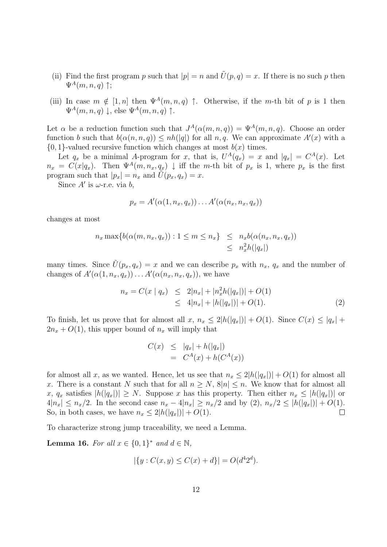- (ii) Find the first program p such that  $|p| = n$  and  $\tilde{U}(p,q) = x$ . If there is no such p then  $\Psi^A(m,n,q)$  †;
- (iii) In case  $m \notin [1, n]$  then  $\Psi^A(m, n, q)$   $\uparrow$ . Otherwise, if the m-th bit of p is 1 then  $\Psi^A(m,n,a)$  |, else  $\Psi^A(m,n,a)$  ↑.

Let  $\alpha$  be a reduction function such that  $J^A(\alpha(m,n,q)) = \Psi^A(m,n,q)$ . Choose an order function b such that  $b(\alpha(n, n, q)) \le nh(|q|)$  for all n, q. We can approximate  $A'(x)$  with a  $\{0, 1\}$ -valued recursive function which changes at most  $b(x)$  times.

Let  $q_x$  be a minimal A-program for x, that is,  $U^A(q_x) = x$  and  $|q_x| = C^A(x)$ . Let  $n_x = C(x|q_x)$ . Then  $\Psi^A(m, n_x, q_x) \downarrow$  iff the m-th bit of  $p_x$  is 1, where  $p_x$  is the first program such that  $|p_x| = n_x$  and  $\hat{U}(p_x, q_x) = x$ .

Since  $A'$  is  $\omega$ -r.e. via  $b$ ,

$$
p_x = A'(\alpha(1, n_x, q_x)) \dots A'(\alpha(n_x, n_x, q_x))
$$

changes at most

$$
n_x \max\{b(\alpha(m, n_x, q_x)) : 1 \le m \le n_x\} \le n_x b(\alpha(n_x, n_x, q_x))
$$
  
\$\le n\_x^2 h(|q\_x|)\$

many times. Since  $U(p_x, q_x) = x$  and we can describe  $p_x$  with  $n_x, q_x$  and the number of changes of  $A'(\alpha(1, n_x, q_x)) \dots A'(\alpha(n_x, n_x, q_x))$ , we have

$$
n_x = C(x | q_x) \le 2|n_x| + |n_x^2 h(|q_x|)| + O(1)
$$
  
\n
$$
\le 4|n_x| + |h(|q_x|)| + O(1).
$$
 (2)

To finish, let us prove that for almost all x,  $n_x \leq 2|h(|q_x|)| + O(1)$ . Since  $C(x) \leq |q_x| +$  $2n_x + O(1)$ , this upper bound of  $n_x$  will imply that

$$
C(x) \le |q_x| + h(|q_x|)
$$
  
= 
$$
C^A(x) + h(C^A(x))
$$

for almost all x, as we wanted. Hence, let us see that  $n_x \leq 2|h(|q_x|)| + O(1)$  for almost all x. There is a constant N such that for all  $n \geq N$ ,  $8|n| \leq n$ . We know that for almost all x,  $q_x$  satisfies  $|h(|q_x|)| \geq N$ . Suppose x has this property. Then either  $n_x \leq |h(|q_x|)|$  or  $4|n_x| \leq n_x/2$ . In the second case  $n_x - 4|n_x| \geq n_x/2$  and by  $(2), n_x/2 \leq |h(|q_x|)| + O(1)$ . So, in both cases, we have  $n_x \leq 2|h(|q_x|)| + O(1)$ .  $\Box$ 

To characterize strong jump traceability, we need a Lemma.

**Lemma 16.** For all  $x \in \{0,1\}^*$  and  $d \in \mathbb{N}$ ,

$$
|\{y : C(x, y) \le C(x) + d\}| = O(d^4 2^d).
$$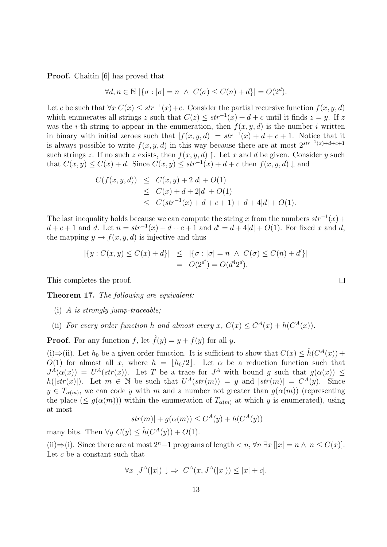**Proof.** Chaitin [6] has proved that

$$
\forall d, n \in \mathbb{N} \left| \left\{ \sigma : |\sigma| = n \ \land \ C(\sigma) \le C(n) + d \right\} \right| = O(2^d).
$$

Let c be such that  $\forall x \ C(x) \leq str^{-1}(x) + c$ . Consider the partial recursive function  $f(x, y, d)$ which enumerates all strings z such that  $C(z) \leq str^{-1}(x) + d + c$  until it finds  $z = y$ . If z was the *i*-th string to appear in the enumeration, then  $f(x, y, d)$  is the number *i* written in binary with initial zeroes such that  $|f(x, y, d)| = str^{-1}(x) + d + c + 1$ . Notice that it is always possible to write  $f(x, y, d)$  in this way because there are at most  $2^{str^{-1}(x)+d+c+1}$ such strings z. If no such z exists, then  $f(x, y, d)$   $\uparrow$ . Let x and d be given. Consider y such that  $C(x, y) \leq C(x) + d$ . Since  $C(x, y) \leq str^{-1}(x) + d + c$  then  $f(x, y, d) \downarrow$  and

$$
C(f(x, y, d)) \leq C(x, y) + 2|d| + O(1)
$$
  
\n
$$
\leq C(x) + d + 2|d| + O(1)
$$
  
\n
$$
\leq C(str^{-1}(x) + d + c + 1) + d + 4|d| + O(1).
$$

The last inequality holds because we can compute the string x from the numbers  $str^{-1}(x)$  +  $d + c + 1$  and d. Let  $n = str^{-1}(x) + d + c + 1$  and  $d' = d + 4|d| + O(1)$ . For fixed x and d, the mapping  $y \mapsto f(x, y, d)$  is injective and thus

$$
|\{y : C(x, y) \le C(x) + d\}| \le |\{\sigma : |\sigma| = n \land C(\sigma) \le C(n) + d'\}|
$$
  
=  $O(2^{d'}) = O(d^4 2^d).$ 

This completes the proof.

Theorem 17. The following are equivalent:

- (i) A is strongly jump-traceable;
- (ii) For every order function h and almost every x,  $C(x) \leq C^{A}(x) + h(C^{A}(x))$ .

**Proof.** For any function f, let  $\hat{f}(y) = y + f(y)$  for all y.

(i)  $\Rightarrow$  (ii). Let  $h_0$  be a given order function. It is sufficient to show that  $C(x) \leq \hat{h}(C^A(x))$  +  $O(1)$  for almost all x, where  $h = \lfloor h_0/2 \rfloor$ . Let  $\alpha$  be a reduction function such that  $J^A(\alpha(x)) = U^A(str(x))$ . Let T be a trace for  $J^A$  with bound g such that  $g(\alpha(x)) \leq$  $h(|str(x)|)$ . Let  $m \in \mathbb{N}$  be such that  $U^A(str(m)) = y$  and  $|str(m)| = C^A(y)$ . Since  $y \in T_{\alpha(m)}$ , we can code y with m and a number not greater than  $g(\alpha(m))$  (representing the place  $(\leq g(\alpha(m)))$  within the enumeration of  $T_{\alpha(m)}$  at which y is enumerated), using at most

$$
|str(m)| + g(\alpha(m)) \le C^{A}(y) + h(C^{A}(y))
$$

many bits. Then  $\forall y \ C(y) \leq \hat{h}(C^A(y)) + O(1)$ .

(ii)⇒(i). Since there are at most  $2^{n}-1$  programs of length  $\lt n$ ,  $\forall n \exists x$  [ $|x| = n \land n \leq C(x)$ ]. Let c be a constant such that

$$
\forall x \ [J^A(|x|) \downarrow \Rightarrow C^A(x, J^A(|x|)) \le |x| + c].
$$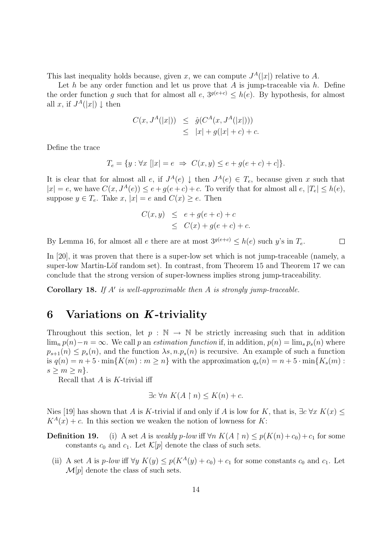This last inequality holds because, given x, we can compute  $J<sup>A</sup>(|x|)$  relative to A.

Let h be any order function and let us prove that A is jump-traceable via h. Define the order function g such that for almost all  $e$ ,  $3^{g(e+c)} \leq h(e)$ . By hypothesis, for almost all x, if  $J^A(|x|) \downarrow$  then

$$
C(x, JA(|x|)) \leq \hat{g}(CA(x, JA(|x|)))
$$
  
 
$$
\leq |x| + g(|x| + c) + c.
$$

Define the trace

$$
T_e = \{ y : \forall x \ [|x| = e \ \Rightarrow \ C(x, y) \le e + g(e + c) + c] \}.
$$

It is clear that for almost all e, if  $J^A(e) \downarrow$  then  $J^A(e) \in T_e$ , because given x such that  $|x| = e$ , we have  $C(x, J<sup>A</sup>(e)) \le e + g(e + c) + c$ . To verify that for almost all  $e, |T_e| \le h(e)$ , suppose  $y \in T_e$ . Take  $x, |x| = e$  and  $C(x) \geq e$ . Then

$$
C(x,y) \le e + g(e+c) + c
$$
  

$$
\le C(x) + g(e+c) + c.
$$

By Lemma 16, for almost all e there are at most  $3^{g(e+c)} < h(e)$  such y's in  $T_e$ .  $\Box$ 

In [20], it was proven that there is a super-low set which is not jump-traceable (namely, a super-low Martin-Löf random set). In contrast, from Theorem 15 and Theorem 17 we can conclude that the strong version of super-lowness implies strong jump-traceability.

Corollary 18. If  $A'$  is well-approximable then  $A$  is strongly jump-traceable.

# 6 Variations on K-triviality

Throughout this section, let  $p : \mathbb{N} \to \mathbb{N}$  be strictly increasing such that in addition  $\lim_{n} p(n)-n = \infty$ . We call p an *estimation function* if, in addition,  $p(n) = \lim_{s} p_s(n)$  where  $p_{s+1}(n) \leq p_s(n)$ , and the function  $\lambda s, n.p_s(n)$  is recursive. An example of such a function is  $q(n) = n + 5 \cdot \min\{K(m) : m \ge n\}$  with the approximation  $q_s(n) = n + 5 \cdot \min\{K_s(m) : m \ge n\}$  $s \geq m \geq n$ .

Recall that  $A$  is  $K$ -trivial iff

$$
\exists c \,\forall n \, K(A \upharpoonright n) \le K(n) + c.
$$

Nies [19] has shown that A is K-trivial if and only if A is low for K, that is,  $\exists c \forall x K(x)$  $K^A(x) + c$ . In this section we weaken the notion of lowness for K:

**Definition 19.** (i) A set A is weakly p-low iff  $\forall n K(A \upharpoonright n) \leq p(K(n)+c_0)+c_1$  for some constants  $c_0$  and  $c_1$ . Let  $\mathcal{K}[p]$  denote the class of such sets.

(ii) A set A is p-low iff  $\forall y K(y) \leq p(K^A(y) + c_0) + c_1$  for some constants  $c_0$  and  $c_1$ . Let  $\mathcal{M}[p]$  denote the class of such sets.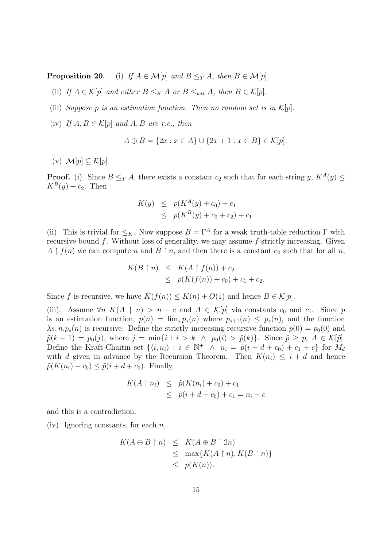**Proposition 20.** (i) If  $A \in \mathcal{M}[p]$  and  $B \leq_T A$ , then  $B \in \mathcal{M}[p]$ .

(ii) If  $A \in \mathcal{K}[p]$  and either  $B \leq_K A$  or  $B \leq_{wtt} A$ , then  $B \in \mathcal{K}[p]$ .

- (iii) Suppose p is an estimation function. Then no random set is in  $\mathcal{K}[p]$ .
- (iv) If  $A, B \in \mathcal{K}[p]$  and  $A, B$  are r.e., then

$$
A \oplus B = \{2x : x \in A\} \cup \{2x + 1 : x \in B\} \in \mathcal{K}[p].
$$

(v)  $\mathcal{M}[p] \subset \mathcal{K}[p]$ .

**Proof.** (i). Since  $B \leq_T A$ , there exists a constant  $c_2$  such that for each string  $y$ ,  $K^A(y) \leq$  $K^B(y) + c_2$ . Then

$$
K(y) \leq p(K^A(y) + c_0) + c_1
$$
  
 
$$
\leq p(K^B(y) + c_0 + c_2) + c_1.
$$

(ii). This is trivial for  $\leq_K$ . Now suppose  $B = \Gamma^A$  for a weak truth-table reduction  $\Gamma$  with recursive bound  $f$ . Without loss of generality, we may assume  $f$  strictly increasing. Given  $A \restriction f(n)$  we can compute n and  $B \restriction n$ , and then there is a constant  $c_2$  such that for all n,

$$
K(B \upharpoonright n) \leq K(A \upharpoonright f(n)) + c_2
$$
  
 
$$
\leq p(K(f(n)) + c_0) + c_1 + c_2.
$$

Since f is recursive, we have  $K(f(n)) \leq K(n) + O(1)$  and hence  $B \in \mathcal{K}[p]$ .

(iii). Assume  $\forall n \ K(A \mid n) > n - c$  and  $A \in \mathcal{K}[p]$  via constants  $c_0$  and  $c_1$ . Since p is an estimation function,  $p(n) = \lim_{s \to s} p_s(n)$  where  $p_{s+1}(n) \leq p_s(n)$ , and the function  $\lambda s, n.p_s(n)$  is recursive. Define the strictly increasing recursive function  $\tilde{p}(0) = p_0(0)$  and  $\tilde{p}(k+1) = p_0(j)$ , where  $j = \min\{i : i > k \land p_0(i) > \tilde{p}(k)\}\$ . Since  $\tilde{p} \geq p$ ,  $A \in \mathcal{K}[\tilde{p}]\$ . Define the Kraft-Chaitin set  $\{\langle i, n_i \rangle : i \in \mathbb{N}^+ \land n_i = \tilde{p}(i + d + c_0) + c_1 + c\}$  for  $M_d$ with d given in advance by the Recursion Theorem. Then  $K(n_i) \leq i + d$  and hence  $\tilde{p}(K(n_i) + c_0) \leq \tilde{p}(i + d + c_0)$ . Finally,

$$
K(A \upharpoonright n_i) \leq \tilde{p}(K(n_i) + c_0) + c_1
$$
  
 
$$
\leq \tilde{p}(i + d + c_0) + c_1 = n_i - c
$$

and this is a contradiction.

(iv). Ignoring constants, for each  $n$ ,

$$
K(A \oplus B \upharpoonright n) \leq K(A \oplus B \upharpoonright 2n)
$$
  
\$\leq\$ 
$$
\max\{K(A \upharpoonright n), K(B \upharpoonright n)\}
$$
  
\$\leq\$ 
$$
p(K(n)).
$$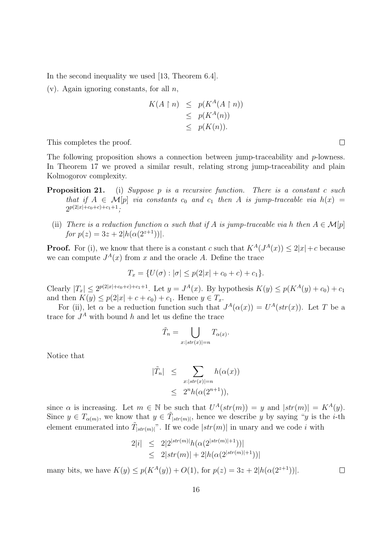In the second inequality we used [13, Theorem 6.4].

 $(v)$ . Again ignoring constants, for all *n*,

$$
K(A \upharpoonright n) \leq p(K^A(A \upharpoonright n))
$$
  
\n
$$
\leq p(K^A(n))
$$
  
\n
$$
\leq p(K(n)).
$$

This completes the proof.

The following proposition shows a connection between jump-traceability and  $p$ -lowness. In Theorem 17 we proved a similar result, relating strong jump-traceability and plain Kolmogorov complexity.

- Proposition 21. (i) Suppose p is a recursive function. There is a constant c such that if  $A \in \mathcal{M}[p]$  via constants  $c_0$  and  $c_1$  then A is jump-traceable via  $h(x) =$  $2^{p(2|x|+c_0+c)+c_1+1};$ 
	- (ii) There is a reduction function  $\alpha$  such that if A is jump-traceable via h then  $A \in \mathcal{M}[p]$ for  $p(z) = 3z + 2|h(\alpha(2^{z+1}))|$ .

**Proof.** For (i), we know that there is a constant c such that  $K^A(J^A(x)) \leq 2|x| + c$  because we can compute  $J<sup>A</sup>(x)$  from x and the oracle A. Define the trace

$$
T_x = \{ U(\sigma) : |\sigma| \le p(2|x| + c_0 + c) + c_1 \}.
$$

Clearly  $|T_x| \le 2^{p(2|x|+c_0+c)+c_1+1}$ . Let  $y = J^A(x)$ . By hypothesis  $K(y) \le p(K^A(y)+c_0)+c_1$ and then  $K(y) \le p(2|x| + c + c_0) + c_1$ . Hence  $y \in T_x$ .

For (ii), let  $\alpha$  be a reduction function such that  $J^A(\alpha(x)) = U^A(str(x))$ . Let T be a trace for  $J^A$  with bound h and let us define the trace

$$
\tilde{T}_n = \bigcup_{x:|str(x)|=n} T_{\alpha(x)}.
$$

Notice that

$$
\begin{array}{rcl} |\tilde{T}_n| & \leq & \sum_{x: |str(x)| = n} h(\alpha(x)) \\ & \leq & 2^n h(\alpha(2^{n+1})), \end{array}
$$

since  $\alpha$  is increasing. Let  $m \in \mathbb{N}$  be such that  $U^A(str(m)) = y$  and  $|str(m)| = K^A(y)$ . Since  $y \in T_{\alpha(m)}$ , we know that  $y \in \tilde{T}_{|str(m)|}$ , hence we describe y by saying "y is the *i*-th element enumerated into  $\tilde{T}_{[str(m)]}$ ". If we code  $|str(m)|$  in unary and we code i with

$$
2|i| \leq 2|2^{|str(m)|}h(\alpha(2^{|str(m)|+1}))|
$$
  
 
$$
\leq 2|str(m)| + 2|h(\alpha(2^{|str(m)|+1}))|
$$

many bits, we have  $K(y) \leq p(K^A(y)) + O(1)$ , for  $p(z) = 3z + 2|h(\alpha(2^{z+1}))|$ .

 $\Box$ 

 $\Box$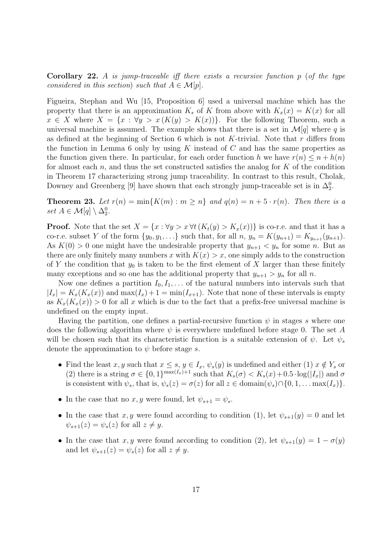**Corollary 22.** A is jump-traceable iff there exists a recursive function p (of the type considered in this section) such that  $A \in \mathcal{M}[p]$ .

Figueira, Stephan and Wu [15, Proposition 6] used a universal machine which has the property that there is an approximation  $K_s$  of K from above with  $K_x(x) = K(x)$  for all  $x \in X$  where  $X = \{x : \forall y > x (K(y) > K(x))\}.$  For the following Theorem, such a universal machine is assumed. The example shows that there is a set in  $\mathcal{M}[q]$  where q is as defined at the beginning of Section 6 which is not K-trivial. Note that  $r$  differs from the function in Lemma 6 only by using  $K$  instead of  $C$  and has the same properties as the function given there. In particular, for each order function h we have  $r(n) \leq n + h(n)$ for almost each  $n$ , and thus the set constructed satisfies the analog for  $K$  of the condition in Theorem 17 characterizing strong jump traceability. In contrast to this result, Cholak, Downey and Greenberg [9] have shown that each strongly jump-traceable set is in  $\Delta_2^0$ .

**Theorem 23.** Let  $r(n) = \min\{K(m) : m \geq n\}$  and  $q(n) = n + 5 \cdot r(n)$ . Then there is a set  $A \in \mathcal{M}[q] \setminus \Delta_2^0$ .

**Proof.** Note that the set  $X = \{x : \forall y > x \forall t (K_t(y) > K_x(x))\}$  is co-r.e. and that it has a co-r.e. subset Y of the form  $\{y_0, y_1, ...\}$  such that, for all  $n, y_n = K(y_{n+1}) = K_{y_{n+1}}(y_{n+1})$ . As  $K(0) > 0$  one might have the undesirable property that  $y_{n+1} < y_n$  for some n. But as there are only finitely many numbers x with  $K(x) > x$ , one simply adds to the construction of Y the condition that  $y_0$  is taken to be the first element of X larger than these finitely many exceptions and so one has the additional property that  $y_{n+1} > y_n$  for all n.

Now one defines a partition  $I_0, I_1, \ldots$  of the natural numbers into intervals such that  $|I_x| = K_x(K_x(x))$  and  $\max(I_x) + 1 = \min(I_{x+1})$ . Note that none of these intervals is empty as  $K_x(K_x(x)) > 0$  for all x which is due to the fact that a prefix-free universal machine is undefined on the empty input.

Having the partition, one defines a partial-recursive function  $\psi$  in stages s where one does the following algorithm where  $\psi$  is everywhere undefined before stage 0. The set A will be chosen such that its characteristic function is a suitable extension of  $\psi$ . Let  $\psi_s$ denote the approximation to  $\psi$  before stage s.

- Find the least x, y such that  $x \leq s$ ,  $y \in I_x$ ,  $\psi_s(y)$  is undefined and either (1)  $x \notin Y_s$  or (2) there is a string  $\sigma \in \{0,1\}^{\max(I_x)+1}$  such that  $K_s(\sigma) < K_s(x)+0.5 \cdot \log(|I_x|)$  and  $\sigma$ is consistent with  $\psi_s$ , that is,  $\psi_s(z) = \sigma(z)$  for all  $z \in \text{domain}(\psi_s) \cap \{0, 1, \dots \max(I_x)\}.$
- In the case that no x, y were found, let  $\psi_{s+1} = \psi_s$ .
- In the case that x, y were found according to condition (1), let  $\psi_{s+1}(y) = 0$  and let  $\psi_{s+1}(z) = \psi_s(z)$  for all  $z \neq y$ .
- In the case that x, y were found according to condition (2), let  $\psi_{s+1}(y) = 1 \sigma(y)$ and let  $\psi_{s+1}(z) = \psi_s(z)$  for all  $z \neq y$ .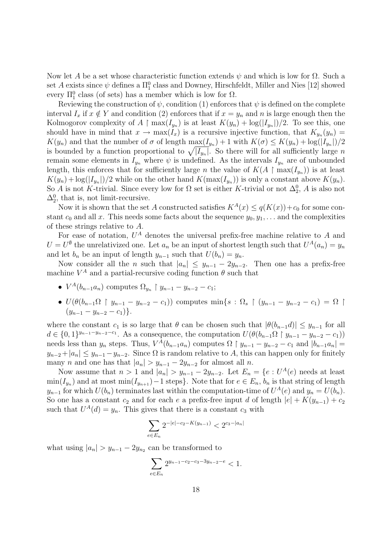Now let A be a set whose characteristic function extends  $\psi$  and which is low for  $\Omega$ . Such a set A exists since  $\psi$  defines a  $\Pi_1^0$  class and Downey, Hirschfeldt, Miller and Nies [12] showed every  $\Pi_1^0$  class (of sets) has a member which is low for  $\Omega$ .

Reviewing the construction of  $\psi$ , condition (1) enforces that  $\psi$  is defined on the complete interval  $I_x$  if  $x \notin Y$  and condition (2) enforces that if  $x = y_n$  and n is large enough then the Kolmogorov complexity of  $A \restriction max(I_{y_n})$  is at least  $K(y_n) + log(|I_{y_n}|)/2$ . To see this, one should have in mind that  $x \to \max(I_x)$  is a recursive injective function, that  $K_{y_n}(y_n) =$  $K(y_n)$  and that the number of  $\sigma$  of length  $\max(I_{y_n}) + 1$  with  $K(\sigma) \leq K(y_n) + \log(|I_{y_n}|)/2$ is bounded by a function proportional to  $\sqrt{|I_{y_n}|}$ . So there will for all sufficiently large n remain some elements in  $I_{y_n}$  where  $\psi$  is undefined. As the intervals  $I_{y_n}$  are of unbounded length, this enforces that for sufficiently large n the value of  $K(A \restriction max(I_{y_n}))$  is at least  $K(y_n) + \log(|I_{y_n}|)/2$  while on the other hand  $K(\max(I_{y_n}))$  is only a constant above  $K(y_n)$ . So A is not K-trivial. Since every low for  $\Omega$  set is either K-trivial or not  $\Delta_2^0$ , A is also not  $\Delta_2^0$ , that is, not limit-recursive.

Now it is shown that the set A constructed satisfies  $K^A(x) \leq q(K(x)) + c_0$  for some constant  $c_0$  and all x. This needs some facts about the sequence  $y_0, y_1, \ldots$  and the complexities of these strings relative to A.

For ease of notation,  $U^A$  denotes the universal prefix-free machine relative to A and  $U = U^{\emptyset}$  the unrelativized one. Let  $a_n$  be an input of shortest length such that  $U^A(a_n) = y_n$ and let  $b_n$  be an input of length  $y_{n-1}$  such that  $U(b_n) = y_n$ .

Now consider all the *n* such that  $|a_n| \leq y_{n-1} - 2y_{n-2}$ . Then one has a prefix-free machine  $V^A$  and a partial-recursive coding function  $\theta$  such that

- $V^A(b_{n-1}a_n)$  computes  $\Omega_{y_n} \restriction y_{n-1} y_{n-2} c_1;$
- $U(\theta(b_{n-1}\Omega \restriction y_{n-1} y_{n-2} c_1))$  computes  $\min\{s : \Omega_s \restriction (y_{n-1} y_{n-2} c_1) = \Omega \}$  $(y_{n-1} - y_{n-2} - c_1)$ .

where the constant  $c_1$  is so large that  $\theta$  can be chosen such that  $|\theta(b_{n-1}d)| \leq y_{n-1}$  for all  $d \in \{0,1\}^{y_{n-1}-y_{n-2}-c_1}$ . As a consequence, the computation  $U(\theta(b_{n-1}\Omega \mid y_{n-1}-y_{n-2}-c_1))$ needs less than  $y_n$  steps. Thus,  $V^{\tilde{A}}(b_{n-1}a_n)$  computes  $\Omega \restriction y_{n-1} - y_{n-2} - c_1$  and  $|b_{n-1}a_n| =$  $y_{n-2}+|a_n| \leq y_{n-1}-y_{n-2}$ . Since  $\Omega$  is random relative to A, this can happen only for finitely many *n* and one has that  $|a_n| > y_{n-1} - 2y_{n-2}$  for almost all *n*.

Now assume that  $n > 1$  and  $|a_n| > y_{n-1} - 2y_{n-2}$ . Let  $E_n = \{e : U^A(e) \text{ needs at least } \}$  $\min(I_{y_n})$  and at most  $\min(I_{y_{n+1}}) - 1$  steps}. Note that for  $e \in E_n$ ,  $b_n$  is that string of length  $y_{n-1}$  for which  $U(b_n)$  terminates last within the computation-time of  $U^A(e)$  and  $y_n = U(b_n)$ . So one has a constant  $c_2$  and for each e a prefix-free input d of length  $|e| + K(y_{n-1}) + c_2$ such that  $U^A(d) = y_n$ . This gives that there is a constant  $c_3$  with

$$
\sum_{e \in E_n} 2^{-|e|-c_2 - K(y_{n-1})} < 2^{c_3 - |a_n|}
$$

what using  $|a_n| > y_{n-1} - 2y_{n_2}$  can be transformed to

$$
\sum_{e \in E_n} 2^{y_{n-1} - c_2 - c_3 - 3y_{n-2} - e} < 1.
$$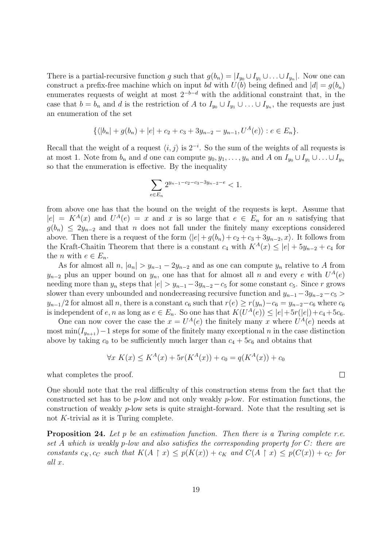There is a partial-recursive function g such that  $g(b_n) = |I_{y_0} \cup I_{y_1} \cup ... \cup I_{y_n}|$ . Now one can construct a prefix-free machine which on input bd with  $U(b)$  being defined and  $|d| = q(b_n)$ enumerates requests of weight at most  $2^{-b-d}$  with the additional constraint that, in the case that  $b = b_n$  and d is the restriction of A to  $I_{y_0} \cup I_{y_1} \cup \ldots \cup I_{y_n}$ , the requests are just an enumeration of the set

$$
\{\langle |b_n|+g(b_n)+|e|+c_2+c_3+3y_{n-2}-y_{n-1},U^A(e)\rangle : e\in E_n\}.
$$

Recall that the weight of a request  $\langle i, j \rangle$  is  $2^{-i}$ . So the sum of the weights of all requests is at most 1. Note from  $b_n$  and d one can compute  $y_0, y_1, \ldots, y_n$  and A on  $I_{y_0} \cup I_{y_1} \cup \ldots \cup I_{y_n}$ so that the enumeration is effective. By the inequality

$$
\sum_{e \in E_n} 2^{y_{n-1} - c_2 - c_3 - 3y_{n-2} - e} < 1.
$$

from above one has that the bound on the weight of the requests is kept. Assume that  $|e| = K^{A}(x)$  and  $U^{A}(e) = x$  and x is so large that  $e \in E_n$  for an n satisfying that  $g(b_n) \leq 2y_{n-2}$  and that n does not fall under the finitely many exceptions considered above. Then there is a request of the form  $\langle |e| + g(b_n) + c_2 + c_3 + 3y_{n-2}, x \rangle$ . It follows from the Kraft-Chaitin Theorem that there is a constant  $c_4$  with  $K^A(x) \leq |e| + 5y_{n-2} + c_4$  for the *n* with  $e \in E_n$ .

As for almost all  $n, |a_n| > y_{n-1} - 2y_{n-2}$  and as one can compute  $y_n$  relative to A from  $y_{n-2}$  plus an upper bound on  $y_n$ , one has that for almost all n and every e with  $U^A(e)$ needing more than  $y_n$  steps that  $|e| > y_{n-1}-3y_{n-2}-c_5$  for some constant  $c_5$ . Since r grows slower than every unbounded and nondecreasing recursive function and  $y_{n-1}-3y_{n-2}-c_5 >$  $y_{n-1}/2$  for almost all n, there is a constant  $c_6$  such that  $r(e) \ge r(y_n)-c_6 = y_{n-2}-c_6$  where  $c_6$ is independent of  $e, n$  as long as  $e \in E_n$ . So one has that  $K(U^A(e)) \leq |e| + 5r(|e|) + c_4 + 5c_6$ .

One can now cover the case the  $x = U^A(e)$  the finitely many x where  $U^A(e)$  needs at most min $(I_{y_{n+1}})$  – 1 steps for some of the finitely many exceptional n in the case distinction above by taking  $c_0$  to be sufficiently much larger than  $c_4 + 5c_6$  and obtains that

$$
\forall x \ K(x) \le K^A(x) + 5r(K^A(x)) + c_0 = q(K^A(x)) + c_0
$$

what completes the proof.

One should note that the real difficulty of this construction stems from the fact that the constructed set has to be  $p$ -low and not only weakly  $p$ -low. For estimation functions, the construction of weakly p-low sets is quite straight-forward. Note that the resulting set is not K-trivial as it is Turing complete.

**Proposition 24.** Let  $p$  be an estimation function. Then there is a Turing complete r.e. set A which is weakly p-low and also satisfies the corresponding property for C: there are constants  $c_K$ ,  $c_C$  such that  $K(A \mid x) \leq p(K(x)) + c_K$  and  $C(A \mid x) \leq p(C(x)) + c_C$  for all x.

 $\Box$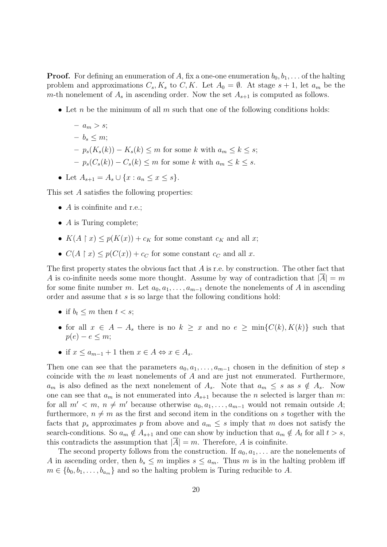**Proof.** For defining an enumeration of A, fix a one-one enumeration  $b_0, b_1, \ldots$  of the halting problem and approximations  $C_s, K_s$  to  $C, K$ . Let  $A_0 = \emptyset$ . At stage  $s + 1$ , let  $a_m$  be the m-th nonelement of  $A_s$  in ascending order. Now the set  $A_{s+1}$  is computed as follows.

• Let n be the minimum of all m such that one of the following conditions holds:

$$
- a_m > s;
$$
  
\n
$$
- b_s \le m;
$$
  
\n
$$
- p_s(K_s(k)) - K_s(k) \le m \text{ for some } k \text{ with } a_m \le k \le s;
$$
  
\n
$$
- p_s(C_s(k)) - C_s(k) \le m \text{ for some } k \text{ with } a_m \le k \le s.
$$

• Let  $A_{s+1} = A_s \cup \{x : a_n \leq x \leq s\}.$ 

This set A satisfies the following properties:

- $\overline{A}$  is coinfinite and r.e.;
- $\overline{A}$  is Turing complete;
- $K(A \restriction x) \leq p(K(x)) + c_K$  for some constant  $c_K$  and all x;
- $C(A \upharpoonright x) \leq p(C(x)) + c_C$  for some constant  $c_C$  and all x.

The first property states the obvious fact that  $A$  is r.e. by construction. The other fact that A is co-infinite needs some more thought. Assume by way of contradiction that  $|A| = m$ for some finite number m. Let  $a_0, a_1, \ldots, a_{m-1}$  denote the nonelements of A in ascending order and assume that s is so large that the following conditions hold:

- if  $b_t \leq m$  then  $t < s$ ;
- for all  $x \in A A_s$  there is no  $k \geq x$  and no  $e \geq \min\{C(k), K(k)\}$  such that  $p(e) - e \leq m$ ;
- if  $x \le a_{m-1} + 1$  then  $x \in A \Leftrightarrow x \in A_s$ .

Then one can see that the parameters  $a_0, a_1, \ldots, a_{m-1}$  chosen in the definition of step s coincide with the  $m$  least nonelements of  $A$  and are just not enumerated. Furthermore,  $a_m$  is also defined as the next nonelement of  $A_s$ . Note that  $a_m \leq s$  as  $s \notin A_s$ . Now one can see that  $a_m$  is not enumerated into  $A_{s+1}$  because the n selected is larger than m: for all  $m' < m$ ,  $n \neq m'$  because otherwise  $a_0, a_1, \ldots, a_{m-1}$  would not remain outside A; furthermore,  $n \neq m$  as the first and second item in the conditions on s together with the facts that  $p_s$  approximates p from above and  $a_m \leq s$  imply that m does not satisfy the search-conditions. So  $a_m \notin A_{s+1}$  and one can show by induction that  $a_m \notin A_t$  for all  $t > s$ , this contradicts the assumption that  $|A| = m$ . Therefore, A is coinfinite.

The second property follows from the construction. If  $a_0, a_1, \ldots$  are the nonelements of A in ascending order, then  $b_s \leq m$  implies  $s \leq a_m$ . Thus m is in the halting problem iff  $m \in \{b_0, b_1, \ldots, b_{a_m}\}\$ and so the halting problem is Turing reducible to A.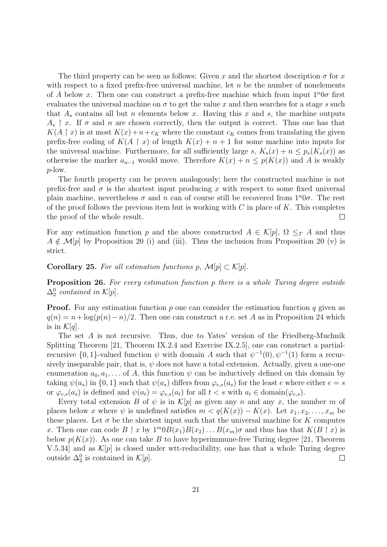The third property can be seen as follows: Given x and the shortest description  $\sigma$  for x with respect to a fixed prefix-free universal machine, let  $n$  be the number of nonelements of A below x. Then one can construct a prefix-free machine which from input  $1^n0\sigma$  first evaluates the universal machine on  $\sigma$  to get the value x and then searches for a stage s such that  $A_s$  contains all but n elements below x. Having this x and s, the machine outputs  $A_s \restriction x$ . If  $\sigma$  and  $n$  are chosen correctly, then the output is correct. Thus one has that  $K(A \rvert x)$  is at most  $K(x)+n+c_K$  where the constant  $c_K$  comes from translating the given prefix-free coding of  $K(A \restriction x)$  of length  $K(x) + n + 1$  for some machine into inputs for the universal machine. Furthermore, for all sufficiently large s,  $K_s(x) + n \leq p_s(K_s(x))$  as otherwise the marker  $a_{n-1}$  would move. Therefore  $K(x) + n \leq p(K(x))$  and A is weakly p-low.

The fourth property can be proven analogously; here the constructed machine is not prefix-free and  $\sigma$  is the shortest input producing x with respect to some fixed universal plain machine, nevertheless  $\sigma$  and n can of course still be recovered from  $1^n0\sigma$ . The rest of the proof follows the previous item but is working with  $C$  in place of  $K$ . This completes the proof of the whole result.  $\Box$ 

For any estimation function p and the above constructed  $A \in \mathcal{K}[p], \Omega \leq_T A$  and thus  $A \notin \mathcal{M}[p]$  by Proposition 20 (i) and (iii). Thus the inclusion from Proposition 20 (v) is strict.

Corollary 25. For all estimation functions p,  $\mathcal{M}[p] \subset \mathcal{K}[p]$ .

**Proposition 26.** For every estimation function p there is a whole Turing degree outside  $\Delta_2^0$  contained in  $\mathcal{K}[p]$ .

**Proof.** For any estimation function p one can consider the estimation function q given as  $q(n) = n + \log(p(n) - n)/2$ . Then one can construct a r.e. set A as in Proposition 24 which is in  $\mathcal{K}[q]$ .

The set A is not recursive. Thus, due to Yates' version of the Friedberg-Muchnik Splitting Theorem [21, Theorem IX.2.4 and Exercise IX.2.5], one can construct a partialrecursive  $\{0,1\}$ -valued function  $\psi$  with domain A such that  $\psi^{-1}(0), \psi^{-1}(1)$  form a recursively inseparable pair, that is,  $\psi$  does not have a total extension. Actually, given a one-one enumeration  $a_0, a_1, \ldots$  of A, this function  $\psi$  can be inductively defined on this domain by taking  $\psi(a_s)$  in  $\{0,1\}$  such that  $\psi(a_s)$  differs from  $\varphi_{e,s}(a_s)$  for the least e where either  $e = s$ or  $\varphi_{e,s}(a_s)$  is defined and  $\psi(a_t) = \varphi_{e,s}(a_t)$  for all  $t < s$  with  $a_t \in \text{domain}(\varphi_{e,s})$ .

Every total extension B of  $\psi$  is in  $\mathcal{K}[p]$  as given any n and any x, the number m of places below x where  $\psi$  is undefined satisfies  $m < q(K(x)) - K(x)$ . Let  $x_1, x_2, \ldots, x_m$  be these places. Let  $\sigma$  be the shortest input such that the universal machine for K computes x. Then one can code  $B \restriction x$  by  $1^m 0B(x_1)B(x_2) \dots B(x_m)\sigma$  and thus has that  $K(B \restriction x)$  is below  $p(K(x))$ . As one can take B to have hyperimmune-free Turing degree [21, Theorem V.5.34] and as  $\mathcal{K}[p]$  is closed under wtt-reducibility, one has that a whole Turing degree outside  $\Delta_2^0$  is contained in  $\mathcal{K}[p]$ .  $\Box$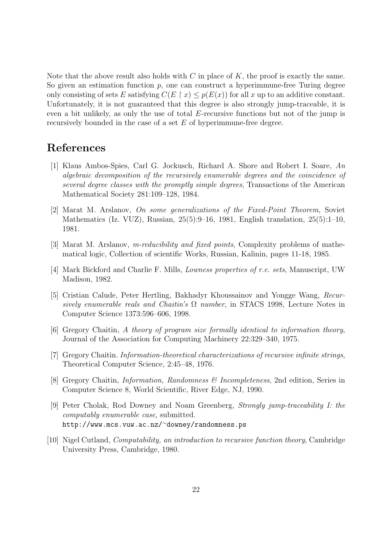Note that the above result also holds with  $C$  in place of  $K$ , the proof is exactly the same. So given an estimation function  $p$ , one can construct a hyperimmune-free Turing degree only consisting of sets E satisfying  $C(E \restriction x) \leq p(E(x))$  for all x up to an additive constant. Unfortunately, it is not guaranteed that this degree is also strongly jump-traceable, it is even a bit unlikely, as only the use of total  $E$ -recursive functions but not of the jump is recursively bounded in the case of a set  $E$  of hyperimmune-free degree.

# References

- [1] Klaus Ambos-Spies, Carl G. Jockusch, Richard A. Shore and Robert I. Soare, An algebraic decomposition of the recursively enumerable degrees and the coincidence of several degree classes with the promptly simple degrees, Transactions of the American Mathematical Society 281:109–128, 1984.
- [2] Marat M. Arslanov, On some generalizations of the Fixed-Point Theorem, Soviet Mathematics (Iz. VUZ), Russian, 25(5):9–16, 1981, English translation, 25(5):1–10, 1981.
- [3] Marat M. Arslanov, m-reducibility and fixed points, Complexity problems of mathematical logic, Collection of scientific Works, Russian, Kalinin, pages 11-18, 1985.
- [4] Mark Bickford and Charlie F. Mills, Lowness properties of r.e. sets, Manuscript, UW Madison, 1982.
- [5] Cristian Calude, Peter Hertling, Bakhadyr Khoussainov and Yongge Wang, Recursively enumerable reals and Chaitin's  $\Omega$  number, in STACS 1998, Lecture Notes in Computer Science 1373:596–606, 1998.
- [6] Gregory Chaitin, A theory of program size formally identical to information theory, Journal of the Association for Computing Machinery 22:329–340, 1975.
- [7] Gregory Chaitin. Information-theoretical characterizations of recursive infinite strings, Theoretical Computer Science, 2:45–48, 1976.
- [8] Gregory Chaitin, Information, Randomness & Incompleteness, 2nd edition, Series in Computer Science 8, World Scientific, River Edge, NJ, 1990.
- [9] Peter Cholak, Rod Downey and Noam Greenberg, Strongly jump-traceability I: the computably enumerable case, submitted. http://www.mcs.vuw.ac.nz/<sup>∼</sup>downey/randomness.ps
- [10] Nigel Cutland, Computability, an introduction to recursive function theory, Cambridge University Press, Cambridge, 1980.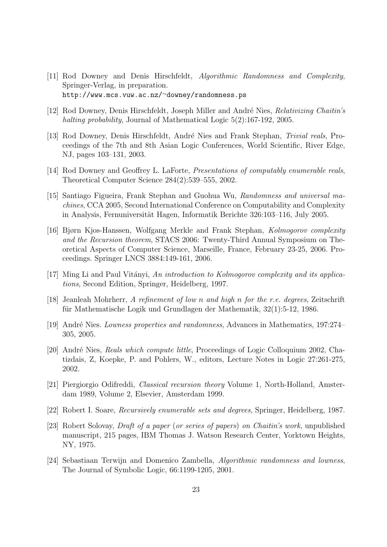- [11] Rod Downey and Denis Hirschfeldt, Algorithmic Randomness and Complexity, Springer-Verlag, in preparation. http://www.mcs.vuw.ac.nz/<sup>∼</sup>downey/randomness.ps
- [12] Rod Downey, Denis Hirschfeldt, Joseph Miller and André Nies, Relativizing Chaitin's halting probability, Journal of Mathematical Logic 5(2):167-192, 2005.
- [13] Rod Downey, Denis Hirschfeldt, André Nies and Frank Stephan, Trivial reals, Proceedings of the 7th and 8th Asian Logic Conferences, World Scientific, River Edge, NJ, pages 103–131, 2003.
- [14] Rod Downey and Geoffrey L. LaForte, Presentations of computably enumerable reals, Theoretical Computer Science 284(2):539–555, 2002.
- [15] Santiago Figueira, Frank Stephan and Guohua Wu, Randomness and universal machines, CCA 2005, Second International Conference on Computability and Complexity in Analysis, Fernuniversität Hagen, Informatik Berichte 326:103–116, July 2005.
- [16] Bjørn Kjos-Hanssen, Wolfgang Merkle and Frank Stephan, Kolmogorov complexity and the Recursion theorem, STACS 2006: Twenty-Third Annual Symposium on Theoretical Aspects of Computer Science, Marseille, France, February 23-25, 2006. Proceedings. Springer LNCS 3884:149-161, 2006.
- [17] Ming Li and Paul Vitányi, An introduction to Kolmogorov complexity and its applications, Second Edition, Springer, Heidelberg, 1997.
- [18] Jeanleah Mohrherr, A refinement of low n and high n for the r.e. degrees, Zeitschrift für Mathematische Logik und Grundlagen der Mathematik,  $32(1)$ :5-12, 1986.
- [19] André Nies. Lowness properties and randomness, Advances in Mathematics, 197:274– 305, 2005.
- [20] André Nies, Reals which compute little, Proceedings of Logic Colloquium 2002, Chatizdais, Z, Koepke, P. and Pohlers, W., editors, Lecture Notes in Logic 27:261-275, 2002.
- [21] Piergiorgio Odifreddi, Classical recursion theory Volume 1, North-Holland, Amsterdam 1989, Volume 2, Elsevier, Amsterdam 1999.
- [22] Robert I. Soare, Recursively enumerable sets and degrees, Springer, Heidelberg, 1987.
- [23] Robert Solovay, Draft of a paper (or series of papers) on Chaitin's work, unpublished manuscript, 215 pages, IBM Thomas J. Watson Research Center, Yorktown Heights, NY, 1975.
- [24] Sebastiaan Terwijn and Domenico Zambella, Algorithmic randomness and lowness, The Journal of Symbolic Logic, 66:1199-1205, 2001.